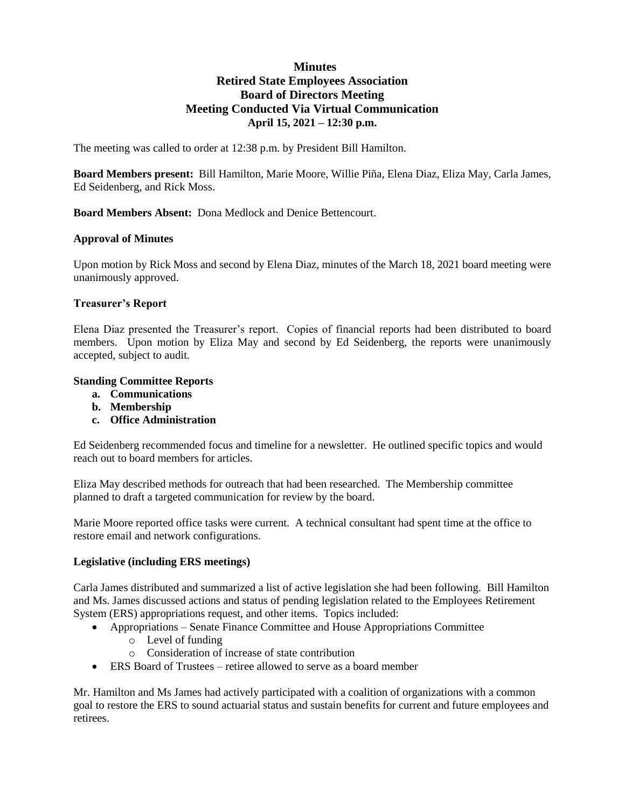# **Minutes Retired State Employees Association Board of Directors Meeting Meeting Conducted Via Virtual Communication April 15, 2021 – 12:30 p.m.**

The meeting was called to order at 12:38 p.m. by President Bill Hamilton.

**Board Members present:** Bill Hamilton, Marie Moore, Willie Piña, Elena Diaz, Eliza May, Carla James, Ed Seidenberg, and Rick Moss.

**Board Members Absent:** Dona Medlock and Denice Bettencourt.

### **Approval of Minutes**

Upon motion by Rick Moss and second by Elena Diaz, minutes of the March 18, 2021 board meeting were unanimously approved.

### **Treasurer's Report**

Elena Diaz presented the Treasurer's report. Copies of financial reports had been distributed to board members. Upon motion by Eliza May and second by Ed Seidenberg, the reports were unanimously accepted, subject to audit.

### **Standing Committee Reports**

- **a. Communications**
- **b. Membership**
- **c. Office Administration**

Ed Seidenberg recommended focus and timeline for a newsletter. He outlined specific topics and would reach out to board members for articles.

Eliza May described methods for outreach that had been researched. The Membership committee planned to draft a targeted communication for review by the board.

Marie Moore reported office tasks were current. A technical consultant had spent time at the office to restore email and network configurations.

### **Legislative (including ERS meetings)**

Carla James distributed and summarized a list of active legislation she had been following. Bill Hamilton and Ms. James discussed actions and status of pending legislation related to the Employees Retirement System (ERS) appropriations request, and other items. Topics included:

- Appropriations Senate Finance Committee and House Appropriations Committee
	- o Level of funding
	- o Consideration of increase of state contribution
- ERS Board of Trustees retiree allowed to serve as a board member

Mr. Hamilton and Ms James had actively participated with a coalition of organizations with a common goal to restore the ERS to sound actuarial status and sustain benefits for current and future employees and retirees.